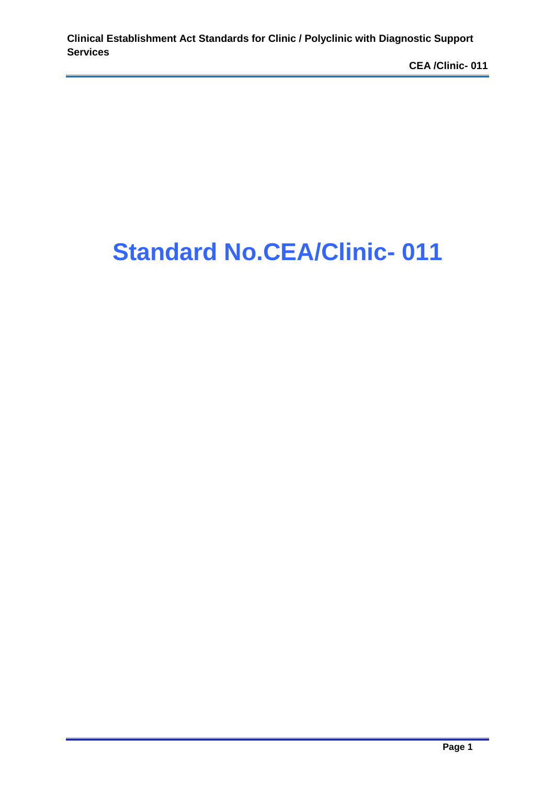# **Standard No.CEA/Clinic- 011**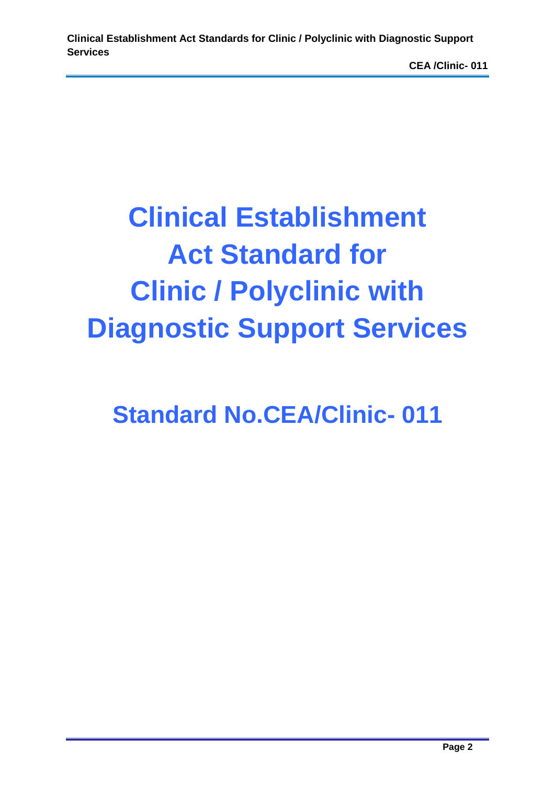# **Clinical Establishment Act Standard for Clinic / Polyclinic with Diagnostic Support Services**

**Standard No.CEA/Clinic- 011**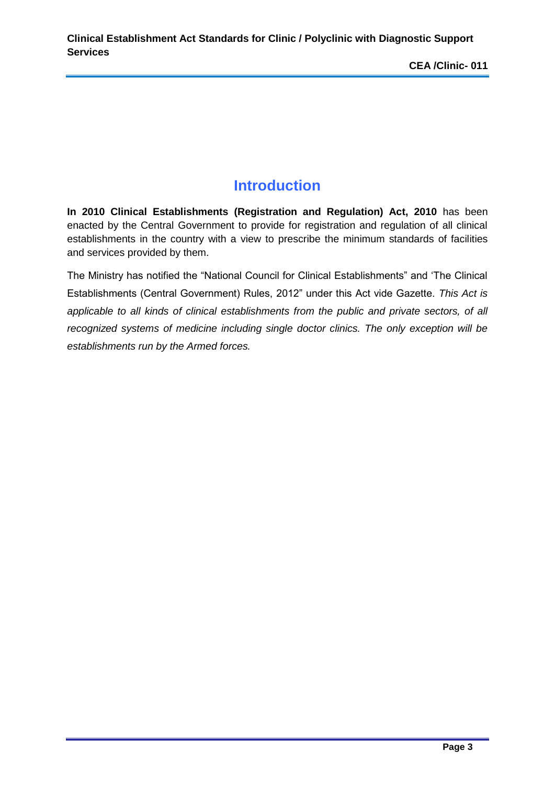# **Introduction**

**In 2010 Clinical Establishments (Registration and Regulation) Act, 2010** has been enacted by the Central Government to provide for registration and regulation of all clinical establishments in the country with a view to prescribe the minimum standards of facilities and services provided by them.

The Ministry has notified the "National Council for Clinical Establishments" and 'The Clinical Establishments (Central Government) Rules, 2012" under this Act vide Gazette. *This Act is applicable to all kinds of clinical establishments from the public and private sectors, of all recognized systems of medicine including single doctor clinics. The only exception will be establishments run by the Armed forces.*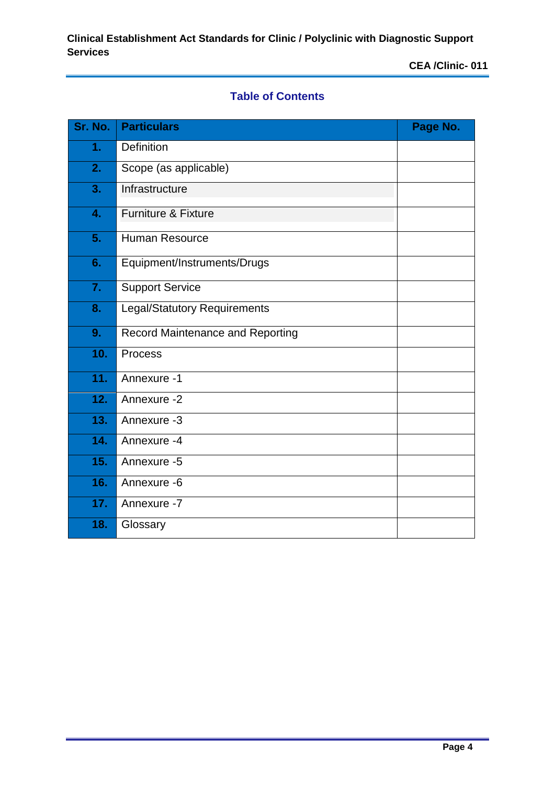# **Table of Contents**

| Sr. No. | <b>Particulars</b>                      | Page No. |
|---------|-----------------------------------------|----------|
| 1.      | Definition                              |          |
| 2.      | Scope (as applicable)                   |          |
| 3.      | Infrastructure                          |          |
| 4.      | <b>Furniture &amp; Fixture</b>          |          |
| 5.      | <b>Human Resource</b>                   |          |
| 6.      | Equipment/Instruments/Drugs             |          |
| 7.      | <b>Support Service</b>                  |          |
| 8.      | <b>Legal/Statutory Requirements</b>     |          |
| 9.      | <b>Record Maintenance and Reporting</b> |          |
| 10.     | <b>Process</b>                          |          |
| 11.     | Annexure -1                             |          |
| 12.     | Annexure -2                             |          |
| 13.     | Annexure -3                             |          |
| 14.     | Annexure -4                             |          |
| 15.     | Annexure -5                             |          |
| 16.     | Annexure -6                             |          |
| 17.     | Annexure -7                             |          |
| 18.     | Glossary                                |          |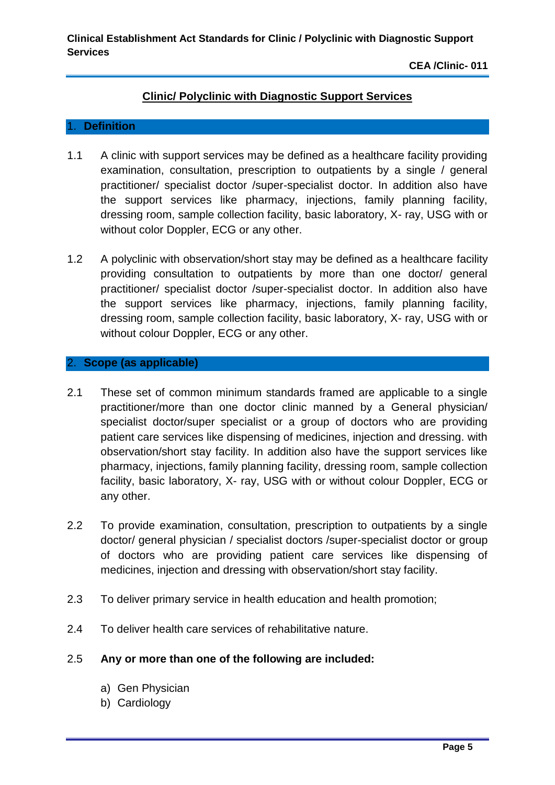#### **Clinic/ Polyclinic with Diagnostic Support Services**

#### 1. **Definition**

- 1.1 A clinic with support services may be defined as a healthcare facility providing examination, consultation, prescription to outpatients by a single / general practitioner/ specialist doctor /super-specialist doctor. In addition also have the support services like pharmacy, injections, family planning facility, dressing room, sample collection facility, basic laboratory, X- ray, USG with or without color Doppler, ECG or any other.
- 1.2 A polyclinic with observation/short stay may be defined as a healthcare facility providing consultation to outpatients by more than one doctor/ general practitioner/ specialist doctor /super-specialist doctor. In addition also have the support services like pharmacy, injections, family planning facility, dressing room, sample collection facility, basic laboratory, X- ray, USG with or without colour Doppler, ECG or any other.

#### 2. **Scope (as applicable)**

- 2.1 These set of common minimum standards framed are applicable to a single practitioner/more than one doctor clinic manned by a General physician/ specialist doctor/super specialist or a group of doctors who are providing patient care services like dispensing of medicines, injection and dressing. with observation/short stay facility. In addition also have the support services like pharmacy, injections, family planning facility, dressing room, sample collection facility, basic laboratory, X- ray, USG with or without colour Doppler, ECG or any other.
- 2.2 To provide examination, consultation, prescription to outpatients by a single doctor/ general physician / specialist doctors /super-specialist doctor or group of doctors who are providing patient care services like dispensing of medicines, injection and dressing with observation/short stay facility.
- 2.3 To deliver primary service in health education and health promotion;
- 2.4 To deliver health care services of rehabilitative nature.

#### 2.5 **Any or more than one of the following are included:**

- a) Gen Physician
- b) Cardiology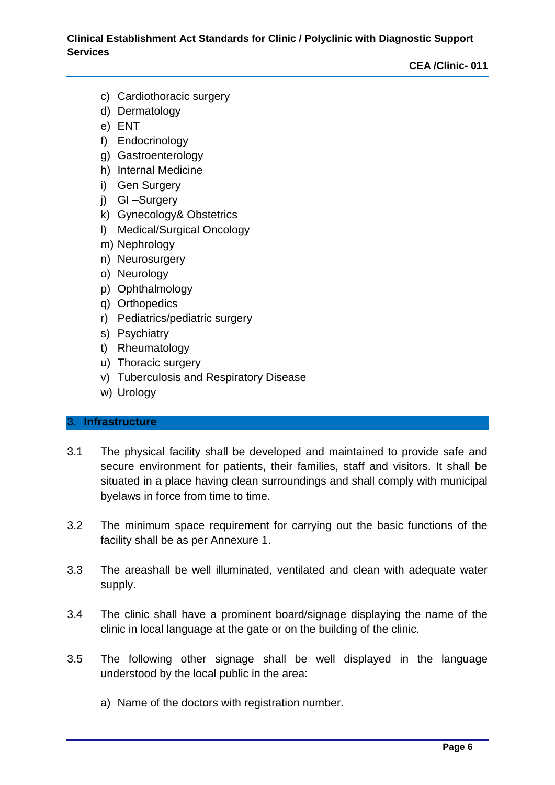- c) Cardiothoracic surgery
- d) Dermatology
- e) ENT
- f) Endocrinology
- g) Gastroenterology
- h) Internal Medicine
- i) Gen Surgery
- j) GI –Surgery
- k) Gynecology& Obstetrics
- l) Medical/Surgical Oncology
- m) Nephrology
- n) Neurosurgery
- o) Neurology
- p) Ophthalmology
- q) Orthopedics
- r) Pediatrics/pediatric surgery
- s) Psychiatry
- t) Rheumatology
- u) Thoracic surgery
- v) Tuberculosis and Respiratory Disease
- w) Urology

#### 3. **Infrastructure**

- 3.1 The physical facility shall be developed and maintained to provide safe and secure environment for patients, their families, staff and visitors. It shall be situated in a place having clean surroundings and shall comply with municipal byelaws in force from time to time.
- 3.2 The minimum space requirement for carrying out the basic functions of the facility shall be as per Annexure 1.
- 3.3 The areashall be well illuminated, ventilated and clean with adequate water supply.
- 3.4 The clinic shall have a prominent board/signage displaying the name of the clinic in local language at the gate or on the building of the clinic.
- 3.5 The following other signage shall be well displayed in the language understood by the local public in the area:
	- a) Name of the doctors with registration number.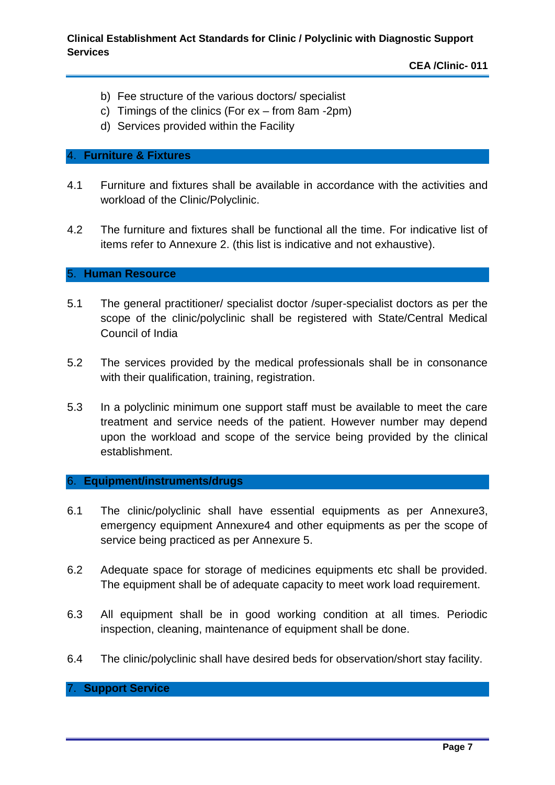- b) Fee structure of the various doctors/ specialist
- c) Timings of the clinics (For ex from 8am -2pm)
- d) Services provided within the Facility

#### 4. **Furniture & Fixtures**

- 4.1 Furniture and fixtures shall be available in accordance with the activities and workload of the Clinic/Polyclinic.
- 4.2 The furniture and fixtures shall be functional all the time. For indicative list of items refer to Annexure 2. (this list is indicative and not exhaustive).

#### 5. **Human Resource**

- 5.1 The general practitioner/ specialist doctor /super-specialist doctors as per the scope of the clinic/polyclinic shall be registered with State/Central Medical Council of India
- 5.2 The services provided by the medical professionals shall be in consonance with their qualification, training, registration.
- 5.3 In a polyclinic minimum one support staff must be available to meet the care treatment and service needs of the patient. However number may depend upon the workload and scope of the service being provided by the clinical establishment.

#### 6. **Equipment/instruments/drugs**

- 6.1 The clinic/polyclinic shall have essential equipments as per Annexure3, emergency equipment Annexure4 and other equipments as per the scope of service being practiced as per Annexure 5.
- 6.2 Adequate space for storage of medicines equipments etc shall be provided. The equipment shall be of adequate capacity to meet work load requirement.
- 6.3 All equipment shall be in good working condition at all times. Periodic inspection, cleaning, maintenance of equipment shall be done.
- 6.4 The clinic/polyclinic shall have desired beds for observation/short stay facility.

#### 7. **Support Service**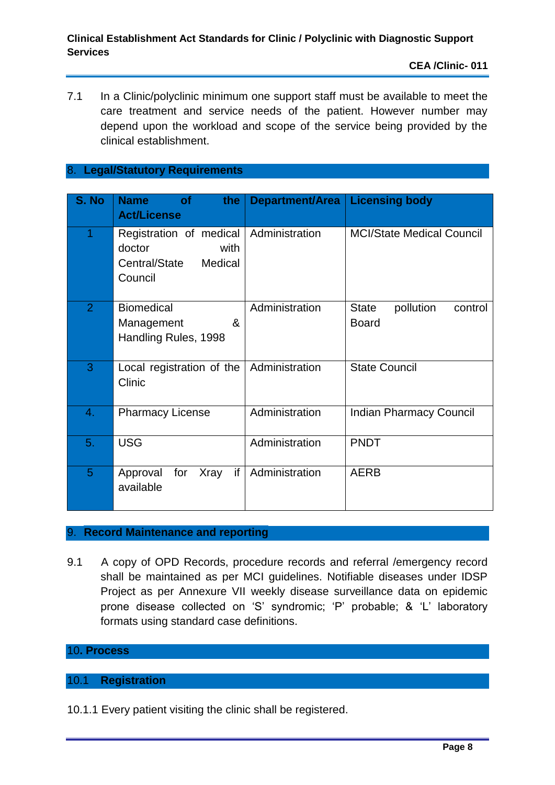7.1 In a Clinic/polyclinic minimum one support staff must be available to meet the care treatment and service needs of the patient. However number may depend upon the workload and scope of the service being provided by the clinical establishment.

#### 8. **Legal/Statutory Requirements**

| S. No          | <b>of</b><br>the<br><b>Name</b><br><b>Act/License</b>                            | <b>Department/Area</b> | <b>Licensing body</b>                                |
|----------------|----------------------------------------------------------------------------------|------------------------|------------------------------------------------------|
| 1              | Registration of medical<br>doctor<br>with<br>Medical<br>Central/State<br>Council | Administration         | <b>MCI/State Medical Council</b>                     |
| $\overline{2}$ | <b>Biomedical</b><br>&<br>Management<br>Handling Rules, 1998                     | Administration         | pollution<br><b>State</b><br>control<br><b>Board</b> |
| 3              | Local registration of the<br>Clinic                                              | Administration         | <b>State Council</b>                                 |
| 4.             | <b>Pharmacy License</b>                                                          | Administration         | <b>Indian Pharmacy Council</b>                       |
| 5.             | <b>USG</b>                                                                       | Administration         | <b>PNDT</b>                                          |
| 5              | if<br>for<br><b>Xray</b><br>Approval<br>available                                | Administration         | <b>AERB</b>                                          |

#### 9. **Record Maintenance and reporting**

9.1 A copy of OPD Records, procedure records and referral /emergency record shall be maintained as per MCI guidelines. Notifiable diseases under IDSP Project as per Annexure VII weekly disease surveillance data on epidemic prone disease collected on 'S' syndromic; 'P' probable; & 'L' laboratory formats using standard case definitions.

#### 10**. Process**

#### 10.1 **Registration**

10.1.1 Every patient visiting the clinic shall be registered.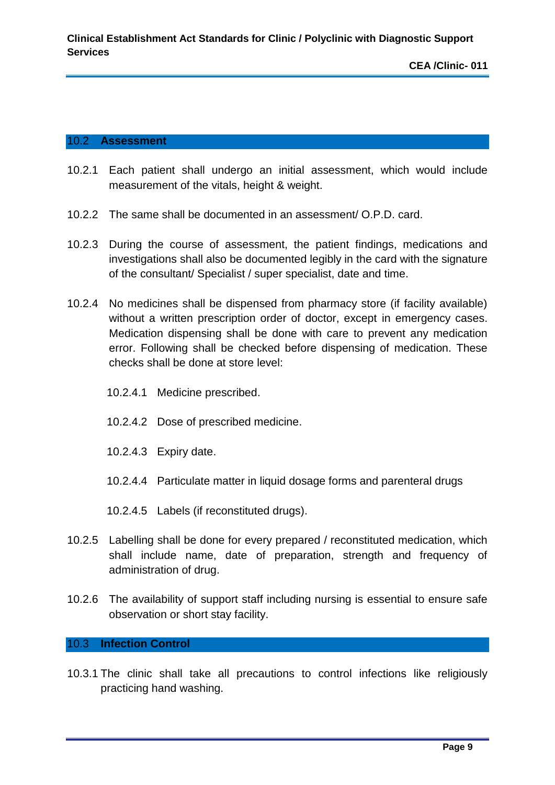#### 10.2 **Assessment**

- 10.2.1 Each patient shall undergo an initial assessment, which would include measurement of the vitals, height & weight.
- 10.2.2 The same shall be documented in an assessment/ O.P.D. card.
- 10.2.3 During the course of assessment, the patient findings, medications and investigations shall also be documented legibly in the card with the signature of the consultant/ Specialist / super specialist, date and time.
- 10.2.4 No medicines shall be dispensed from pharmacy store (if facility available) without a written prescription order of doctor, except in emergency cases. Medication dispensing shall be done with care to prevent any medication error. Following shall be checked before dispensing of medication. These checks shall be done at store level:
	- 10.2.4.1 Medicine prescribed.
	- 10.2.4.2 Dose of prescribed medicine.
	- 10.2.4.3 Expiry date.
	- 10.2.4.4 Particulate matter in liquid dosage forms and parenteral drugs
	- 10.2.4.5 Labels (if reconstituted drugs).
- 10.2.5 Labelling shall be done for every prepared / reconstituted medication, which shall include name, date of preparation, strength and frequency of administration of drug.
- 10.2.6 The availability of support staff including nursing is essential to ensure safe observation or short stay facility.

#### 10.3 **Infection Control**

10.3.1 The clinic shall take all precautions to control infections like religiously practicing hand washing.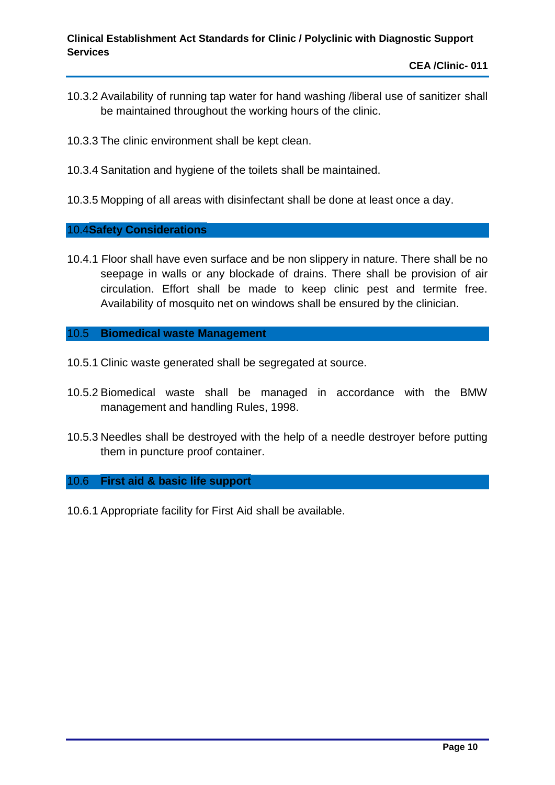- 10.3.2 Availability of running tap water for hand washing /liberal use of sanitizer shall be maintained throughout the working hours of the clinic.
- 10.3.3 The clinic environment shall be kept clean.
- 10.3.4 Sanitation and hygiene of the toilets shall be maintained.
- 10.3.5 Mopping of all areas with disinfectant shall be done at least once a day.

#### 10.4**Safety Considerations**

10.4.1 Floor shall have even surface and be non slippery in nature. There shall be no seepage in walls or any blockade of drains. There shall be provision of air circulation. Effort shall be made to keep clinic pest and termite free. Availability of mosquito net on windows shall be ensured by the clinician.

#### 10.5 **Biomedical waste Management**

- 10.5.1 Clinic waste generated shall be segregated at source.
- 10.5.2 Biomedical waste shall be managed in accordance with the BMW management and handling Rules, 1998.
- 10.5.3 Needles shall be destroyed with the help of a needle destroyer before putting them in puncture proof container.

#### 10.6 **First aid & basic life support**

10.6.1 Appropriate facility for First Aid shall be available.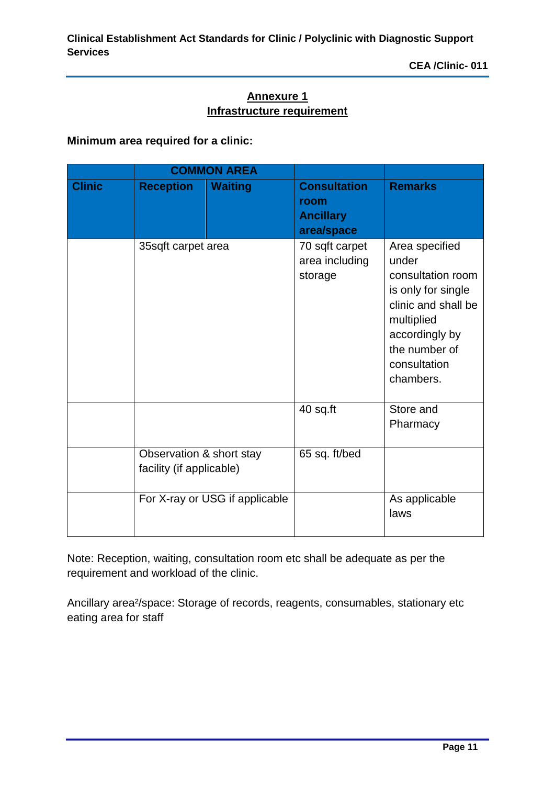## **Annexure 1 Infrastructure requirement**

#### **Minimum area required for a clinic:**

|               |                                                      | <b>COMMON AREA</b>             |                                                               |                                                                                                                                                                         |
|---------------|------------------------------------------------------|--------------------------------|---------------------------------------------------------------|-------------------------------------------------------------------------------------------------------------------------------------------------------------------------|
| <b>Clinic</b> | <b>Reception</b>                                     | <b>Waiting</b>                 | <b>Consultation</b><br>room<br><b>Ancillary</b><br>area/space | <b>Remarks</b>                                                                                                                                                          |
|               | 35sqft carpet area                                   |                                | 70 sqft carpet<br>area including<br>storage                   | Area specified<br>under<br>consultation room<br>is only for single<br>clinic and shall be<br>multiplied<br>accordingly by<br>the number of<br>consultation<br>chambers. |
|               |                                                      |                                | 40 sq.ft                                                      | Store and<br>Pharmacy                                                                                                                                                   |
|               | Observation & short stay<br>facility (if applicable) |                                | 65 sq. ft/bed                                                 |                                                                                                                                                                         |
|               |                                                      | For X-ray or USG if applicable |                                                               | As applicable<br>laws                                                                                                                                                   |

Note: Reception, waiting, consultation room etc shall be adequate as per the requirement and workload of the clinic.

Ancillary area²/space: Storage of records, reagents, consumables, stationary etc eating area for staff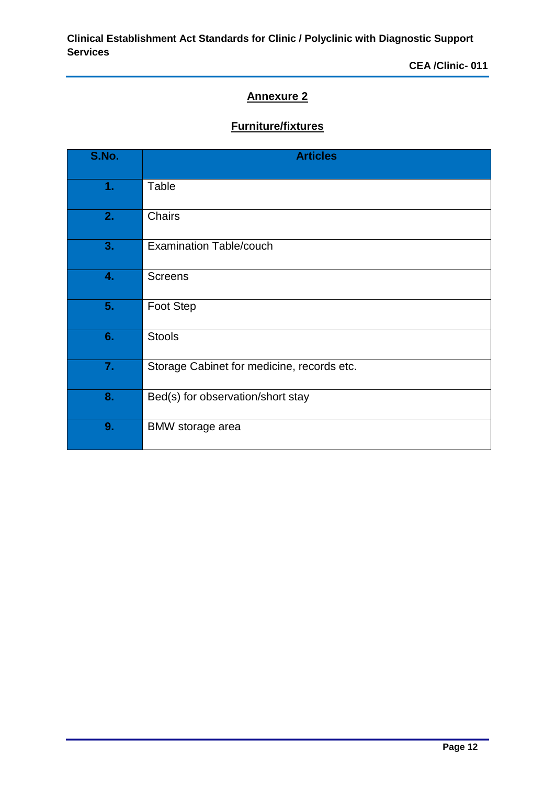# **Annexure 2**

# **Furniture/fixtures**

| S.No. | <b>Articles</b>                            |
|-------|--------------------------------------------|
| 1.    | Table                                      |
| 2.    | Chairs                                     |
| 3.    | <b>Examination Table/couch</b>             |
| 4.    | <b>Screens</b>                             |
| 5.    | Foot Step                                  |
| 6.    | <b>Stools</b>                              |
| 7.    | Storage Cabinet for medicine, records etc. |
| 8.    | Bed(s) for observation/short stay          |
| 9.    | BMW storage area                           |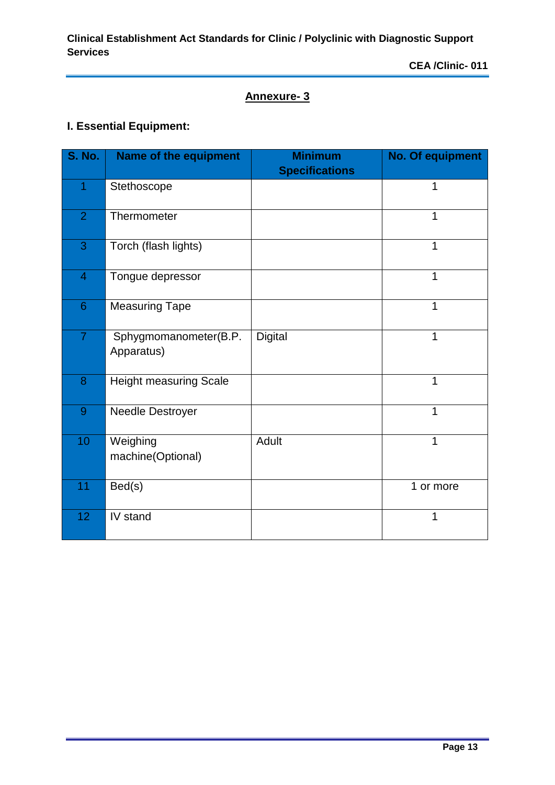# **Annexure- 3**

# **I. Essential Equipment:**

| <b>S. No.</b>  | <b>Name of the equipment</b>        | <b>Minimum</b><br><b>Specifications</b> | No. Of equipment |
|----------------|-------------------------------------|-----------------------------------------|------------------|
| 1              | Stethoscope                         |                                         | 1                |
| $\overline{2}$ | Thermometer                         |                                         | 1                |
| 3              | Torch (flash lights)                |                                         | 1                |
| $\overline{4}$ | Tongue depressor                    |                                         | 1                |
| 6              | <b>Measuring Tape</b>               |                                         | 1                |
| $\overline{7}$ | Sphygmomanometer(B.P.<br>Apparatus) | <b>Digital</b>                          | 1                |
| 8              | <b>Height measuring Scale</b>       |                                         | 1                |
| 9              | Needle Destroyer                    |                                         | 1                |
| 10             | Weighing<br>machine(Optional)       | Adult                                   | 1                |
| 11             | Bed(s)                              |                                         | 1 or more        |
| 12             | IV stand                            |                                         | 1                |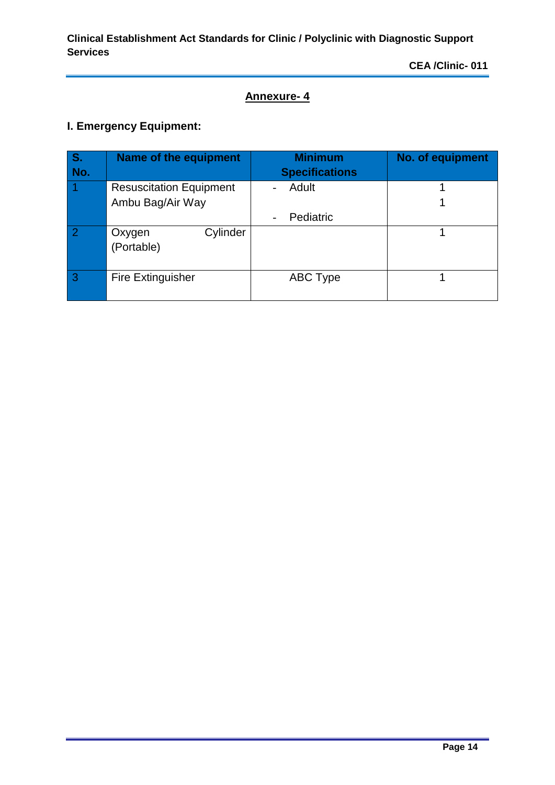# **Annexure- 4**

# **I. Emergency Equipment:**

| <b>S.</b><br>No. | Name of the equipment                              | <b>Minimum</b><br><b>Specifications</b> | <b>No. of equipment</b> |
|------------------|----------------------------------------------------|-----------------------------------------|-------------------------|
|                  | <b>Resuscitation Equipment</b><br>Ambu Bag/Air Way | Adult                                   |                         |
|                  |                                                    | Pediatric                               |                         |
|                  | Cylinder<br>Oxygen<br>(Portable)                   |                                         |                         |
| 3                | <b>Fire Extinguisher</b>                           | <b>ABC Type</b>                         |                         |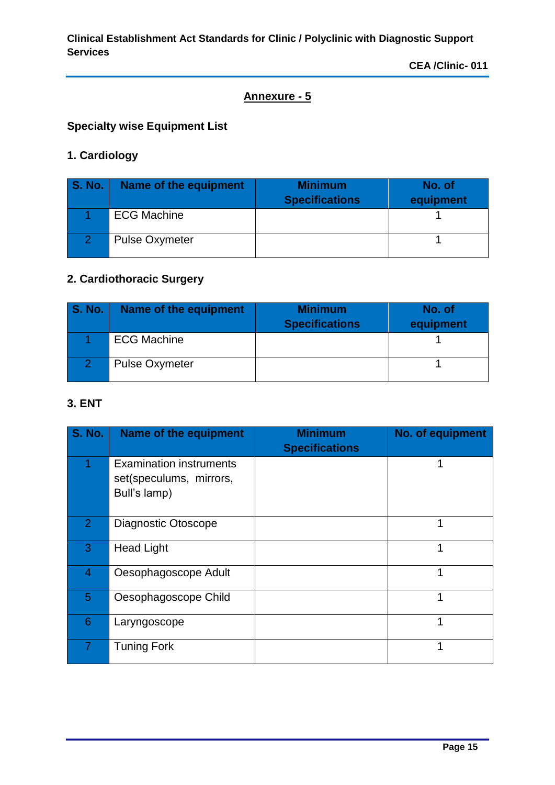# **Annexure - 5**

# **Specialty wise Equipment List**

# **1. Cardiology**

| <b>S. No.</b> | Name of the equipment | <b>Minimum</b><br><b>Specifications</b> | No. of<br>equipment |
|---------------|-----------------------|-----------------------------------------|---------------------|
|               | <b>ECG Machine</b>    |                                         |                     |
|               | <b>Pulse Oxymeter</b> |                                         |                     |

# **2. Cardiothoracic Surgery**

| <b>S. No.</b> | Name of the equipment | <b>Minimum</b><br><b>Specifications</b> | No. of<br>equipment |
|---------------|-----------------------|-----------------------------------------|---------------------|
|               | <b>ECG Machine</b>    |                                         |                     |
|               | <b>Pulse Oxymeter</b> |                                         |                     |

#### **3. ENT**

| <b>S. No.</b>  | Name of the equipment                                                     | <b>Minimum</b><br><b>Specifications</b> | No. of equipment |
|----------------|---------------------------------------------------------------------------|-----------------------------------------|------------------|
|                | <b>Examination instruments</b><br>set(speculums, mirrors,<br>Bull's lamp) |                                         |                  |
| $\overline{2}$ | Diagnostic Otoscope                                                       |                                         | 1                |
| 3              | <b>Head Light</b>                                                         |                                         | 1                |
| $\overline{4}$ | Oesophagoscope Adult                                                      |                                         | 1                |
| 5              | Oesophagoscope Child                                                      |                                         | 1                |
| 6              | Laryngoscope                                                              |                                         | 1                |
|                | <b>Tuning Fork</b>                                                        |                                         | 1                |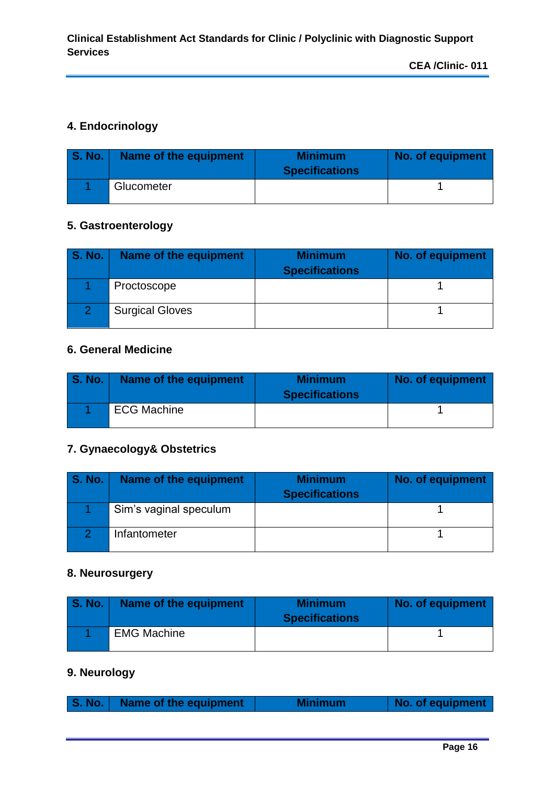#### **4. Endocrinology**

| <b>S. No.</b> | Name of the equipment | <b>Minimum</b><br><b>Specifications</b> | No. of equipment |
|---------------|-----------------------|-----------------------------------------|------------------|
|               | Glucometer            |                                         |                  |

#### **5. Gastroenterology**

| <b>S. No.</b> | Name of the equipment  | <b>Minimum</b><br><b>Specifications</b> | No. of equipment |
|---------------|------------------------|-----------------------------------------|------------------|
|               | Proctoscope            |                                         |                  |
|               | <b>Surgical Gloves</b> |                                         |                  |

#### **6. General Medicine**

| <b>S. No.</b> 1 | Name of the equipment | <b>Minimum</b><br><b>Specifications</b> | No. of equipment |
|-----------------|-----------------------|-----------------------------------------|------------------|
|                 | <b>ECG Machine</b>    |                                         |                  |

# **7. Gynaecology& Obstetrics**

| <b>S. No.</b> | Name of the equipment  | <b>Minimum</b><br><b>Specifications</b> | No. of equipment |
|---------------|------------------------|-----------------------------------------|------------------|
|               | Sim's vaginal speculum |                                         |                  |
|               | Infantometer           |                                         |                  |

#### **8. Neurosurgery**

| S. No.   Name of the equipment | <b>Minimum</b><br><b>Specifications</b> | No. of equipment |
|--------------------------------|-----------------------------------------|------------------|
| <b>EMG Machine</b>             |                                         |                  |

# **9. Neurology**

|  |  | S. No.   Name of the equipment | <b>Minimum</b> | No. of equipment |
|--|--|--------------------------------|----------------|------------------|
|--|--|--------------------------------|----------------|------------------|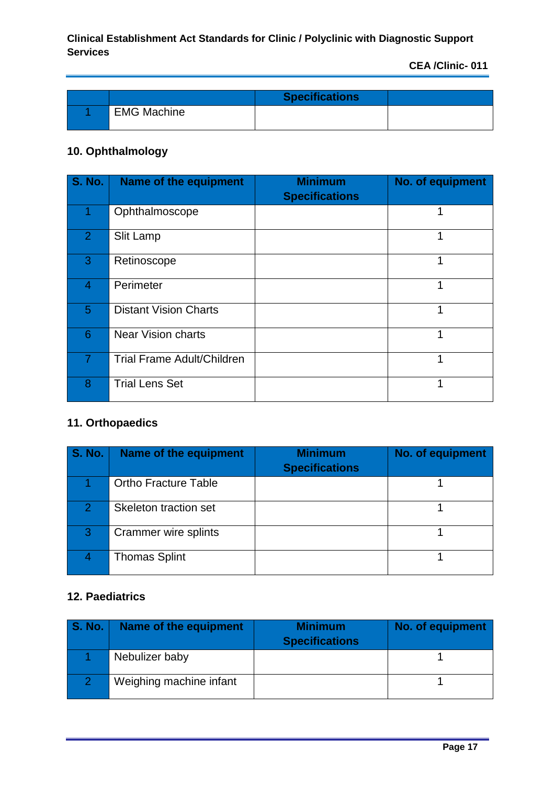|                    | <b>Specifications</b> |  |
|--------------------|-----------------------|--|
| <b>EMG Machine</b> |                       |  |

# **10. Ophthalmology**

| <b>S. No.</b>  | Name of the equipment             | <b>Minimum</b><br><b>Specifications</b> | No. of equipment |
|----------------|-----------------------------------|-----------------------------------------|------------------|
|                | Ophthalmoscope                    |                                         | 1                |
| $\overline{2}$ | Slit Lamp                         |                                         | 1                |
| 3              | Retinoscope                       |                                         | 1                |
| 4              | Perimeter                         |                                         | 1                |
| 5              | <b>Distant Vision Charts</b>      |                                         | 1                |
| 6              | <b>Near Vision charts</b>         |                                         | 1                |
| 7              | <b>Trial Frame Adult/Children</b> |                                         | 1                |
| 8              | <b>Trial Lens Set</b>             |                                         |                  |

# **11. Orthopaedics**

| <b>S. No.</b> | Name of the equipment       | <b>Minimum</b><br><b>Specifications</b> | <b>No. of equipment</b> |
|---------------|-----------------------------|-----------------------------------------|-------------------------|
|               | <b>Ortho Fracture Table</b> |                                         |                         |
| 2.            | Skeleton traction set       |                                         |                         |
| 3             | Crammer wire splints        |                                         |                         |
|               | <b>Thomas Splint</b>        |                                         |                         |

# **12. Paediatrics**

| <b>S. No.</b> | Name of the equipment   | <b>Minimum</b><br><b>Specifications</b> | No. of equipment |
|---------------|-------------------------|-----------------------------------------|------------------|
|               | Nebulizer baby          |                                         |                  |
|               | Weighing machine infant |                                         |                  |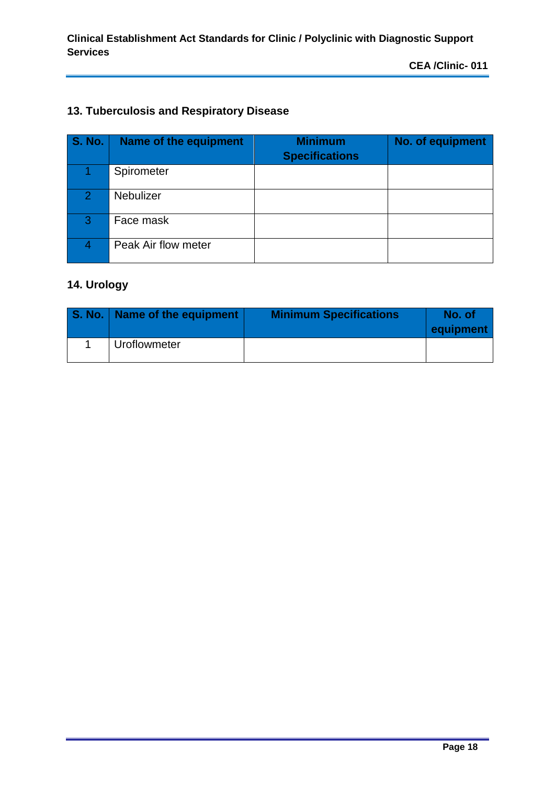# **13. Tuberculosis and Respiratory Disease**

| <b>S. No.</b> | Name of the equipment | <b>Minimum</b><br><b>Specifications</b> | <b>No. of equipment</b> |
|---------------|-----------------------|-----------------------------------------|-------------------------|
|               | Spirometer            |                                         |                         |
| 2             | <b>Nebulizer</b>      |                                         |                         |
| 3             | Face mask             |                                         |                         |
| 4             | Peak Air flow meter   |                                         |                         |

# **14. Urology**

| S. No.   Name of the equipment / | <b>Minimum Specifications</b> | No. of<br>equipment |
|----------------------------------|-------------------------------|---------------------|
| Uroflowmeter                     |                               |                     |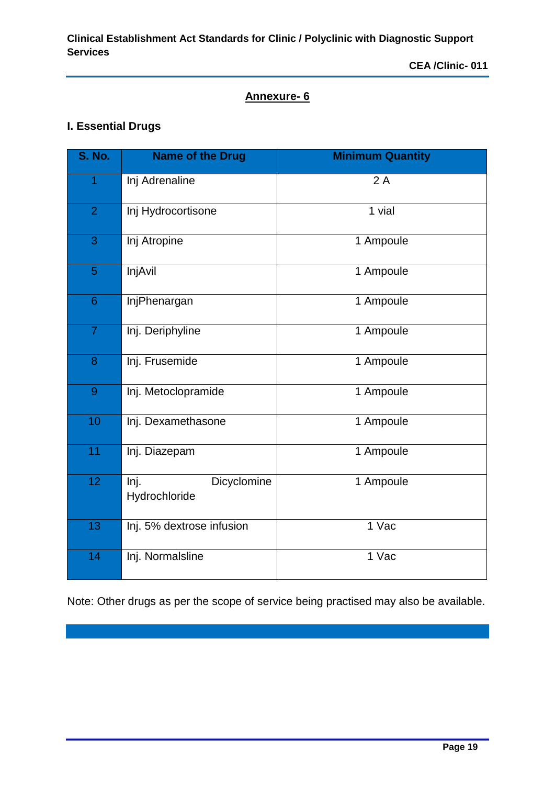#### **Annexure- 6**

# **I. Essential Drugs**

| <b>S. No.</b>   | <b>Name of the Drug</b>              | <b>Minimum Quantity</b> |
|-----------------|--------------------------------------|-------------------------|
| $\overline{1}$  | Inj Adrenaline                       | 2A                      |
| $\overline{2}$  | Inj Hydrocortisone                   | 1 vial                  |
| 3               | Inj Atropine                         | 1 Ampoule               |
| 5               | InjAvil                              | 1 Ampoule               |
| $6\phantom{1}$  | InjPhenargan                         | 1 Ampoule               |
| $\overline{7}$  | Inj. Deriphyline                     | 1 Ampoule               |
| 8               | Inj. Frusemide                       | 1 Ampoule               |
| 9               | Inj. Metoclopramide                  | 1 Ampoule               |
| 10              | Inj. Dexamethasone                   | 1 Ampoule               |
| 11              | Inj. Diazepam                        | 1 Ampoule               |
| 12 <sub>2</sub> | lnj.<br>Dicyclomine<br>Hydrochloride | 1 Ampoule               |
| 13              | Inj. 5% dextrose infusion            | 1 Vac                   |
| 14              | Inj. Normalsline                     | 1 Vac                   |

Note: Other drugs as per the scope of service being practised may also be available.